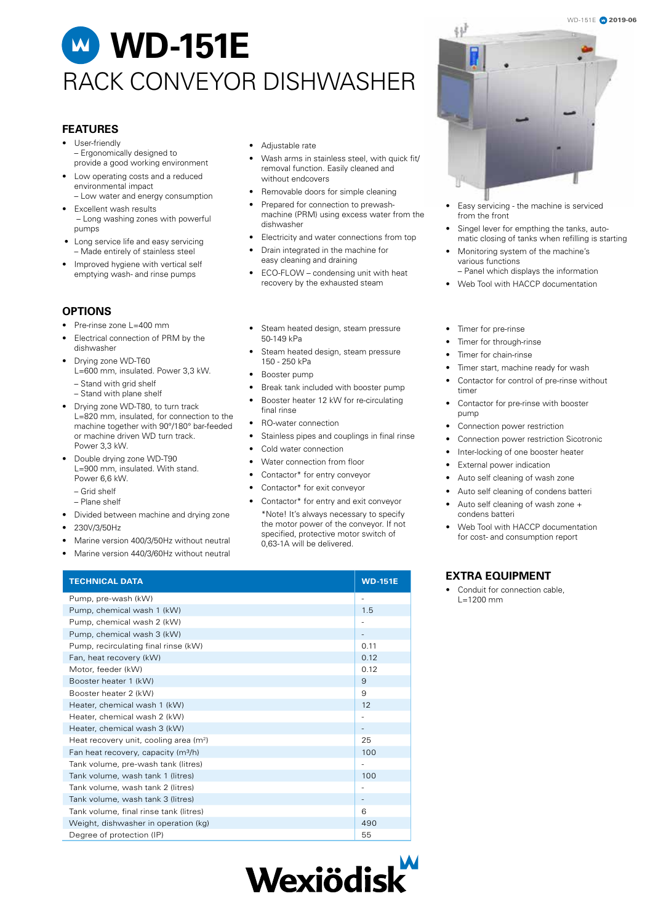# **WD-151E** RACK CONVEYOR DISHWASHER

#### **FEATURES**

- User-friendly – Ergonomically designed to provide a good working environment
- Low operating costs and a reduced environmental impact
- Low water and energy consumption Excellent wash results
- Long washing zones with powerful pumps
- Long service life and easy servicing – Made entirely of stainless steel
- Improved hygiene with vertical self emptying wash- and rinse pumps

### **OPTIONS**

- Pre-rinse zone L=400 mm
- Electrical connection of PRM by the dishwasher
- Drying zone WD-T60 L=600 mm, insulated. Power 3,3 kW.
	- Stand with grid shelf
	- Stand with plane shelf
- Drying zone WD-T80, to turn track  $L=820$  mm, insulated, for connection to the machine together with 90°/180° bar-feeded or machine driven WD turn track. Power 3,3 kW.
- Double drying zone WD-T90 L=900 mm, insulated. With stand. Power 6,6 kW
	- Grid shelf
	- Plane shelf
- Divided between machine and drying zone
- 230V/3/50Hz
- Marine version 400/3/50Hz without neutral
- Marine version 440/3/60Hz without neutral
- Adjustable rate
- Wash arms in stainless steel, with quick fit/ removal function. Easily cleaned and without endcovers
- Removable doors for simple cleaning
- Prepared for connection to prewashmachine (PRM) using excess water from the dishwasher
- Electricity and water connections from top
- Drain integrated in the machine for easy cleaning and draining
- ECO-FLOW condensing unit with heat recovery by the exhausted steam
- Steam heated design, steam pressure 50-149 kPa
- Steam heated design, steam pressure 150 - 250 kPa
- Booster pump
- Break tank included with booster pump
- Booster heater 12 kW for re-circulating final rinse
- RO-water connection
- Stainless pipes and couplings in final rinse
- Cold water connection
- Water connection from floor
- Contactor\* for entry conveyor
- Contactor\* for exit conveyor
- Contactor\* for entry and exit conveyor
- \*Note! It's always necessary to specify the motor power of the conveyor. If not specified, protective motor switch of 0,63-1A will be delivered.







- Easy servicing the machine is serviced from the front
- Singel lever for empthing the tanks, automatic closing of tanks when refilling is starting
- Monitoring system of the machine's various functions – Panel which displays the information
- Web Tool with HACCP documentation
- Timer for pre-rinse
- Timer for through-rinse
- Timer for chain-rinse
- Timer start, machine ready for wash
- Contactor for control of pre-rinse without timer
- Contactor for pre-rinse with booster pump
- Connection power restriction
- Connection power restriction Sicotronic
- Inter-locking of one booster heater
- External power indication
- Auto self cleaning of wash zone
- Auto self cleaning of condens batteri
- Auto self cleaning of wash zone + condens batteri
- Web Tool with HACCP documentation for cost- and consumption report

### **EXTRA EQUIPMENT**

Conduit for connection cable. L=1200 mm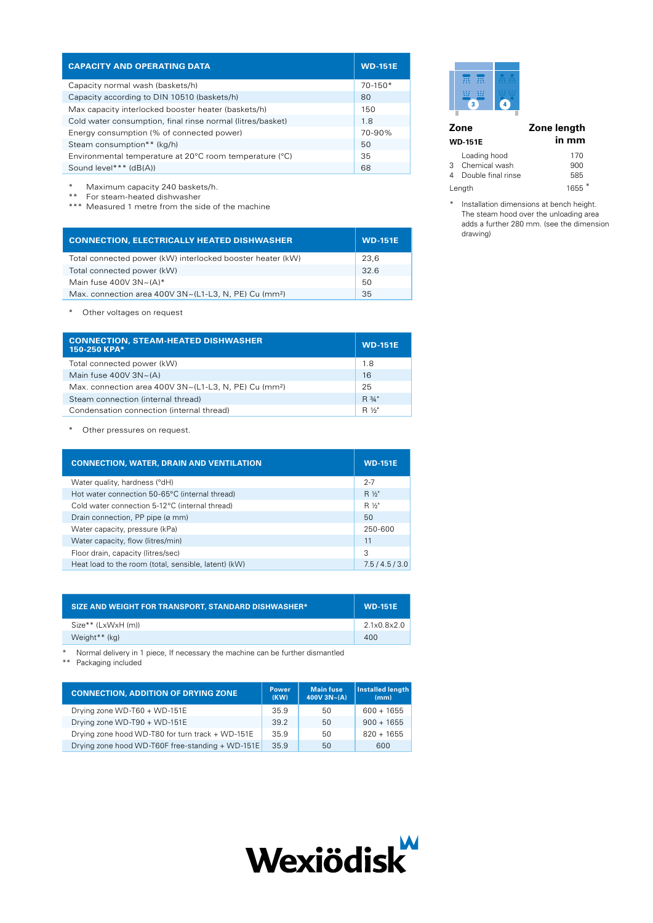| <b>CAPACITY AND OPERATING DATA</b>                         | <b>WD-151E</b> |
|------------------------------------------------------------|----------------|
| Capacity normal wash (baskets/h)                           | $70-150*$      |
| Capacity according to DIN 10510 (baskets/h)                | 80             |
| Max capacity interlocked booster heater (baskets/h)        | 150            |
| Cold water consumption, final rinse normal (litres/basket) | 1.8            |
| Energy consumption (% of connected power)                  | 70-90%         |
| Steam consumption** (kg/h)                                 | 50             |
| Environmental temperature at 20°C room temperature (°C)    | 35             |
| Sound level*** (dB(A))                                     | 68             |

\* Maximum capacity 240 baskets/h.

\*\* For steam-heated dishwasher

\*\*\* Measured 1 metre from the side of the machine

| <b>CONNECTION, ELECTRICALLY HEATED DISHWASHER</b>                        | <b>WD-151E</b> |
|--------------------------------------------------------------------------|----------------|
| Total connected power (kW) interlocked booster heater (kW)               | 23.6           |
| Total connected power (kW)                                               | 32.6           |
| Main fuse 400V $3N \sim (A)^*$                                           | 50             |
| Max. connection area 400V $3N \sim (L1-L3, N, PE)$ Cu (mm <sup>2</sup> ) | 35             |

\* Other voltages on request

| <b>CONNECTION, STEAM-HEATED DISHWASHER</b><br>150-250 KPA*        | <b>WD-151E</b>      |
|-------------------------------------------------------------------|---------------------|
| Total connected power (kW)                                        | 1.8                 |
| Main fuse $400V$ $3N~(A)$                                         | 16                  |
| Max. connection area 400V 3N~(L1-L3, N, PE) Cu (mm <sup>2</sup> ) | 25                  |
| Steam connection (internal thread)                                | R 3/4"              |
| Condensation connection (internal thread)                         | R 1/ <sub>2</sub> " |

\* Other pressures on request.

| <b>CONNECTION, WATER, DRAIN AND VENTILATION</b>      | <b>WD-151E</b> |
|------------------------------------------------------|----------------|
| Water quality, hardness (°dH)                        | $2 - 7$        |
| Hot water connection 50-65°C (internal thread)       | R 1/2"         |
| Cold water connection 5-12°C (internal thread)       | R 1/2"         |
| Drain connection, PP pipe (ø mm)                     | 50             |
| Water capacity, pressure (kPa)                       | 250-600        |
| Water capacity, flow (litres/min)                    | 11             |
| Floor drain, capacity (litres/sec)                   | 3              |
| Heat load to the room (total, sensible, latent) (kW) | 7.5/4.5/3.0    |

| <b>SIZE AND WEIGHT FOR TRANSPORT, STANDARD DISHWASHER*</b> | <b>WD-151E</b> |
|------------------------------------------------------------|----------------|
| Size** (LxWxH (m))                                         | 2.1x0.8x2.0    |
| Weight <sup>**</sup> (kg)                                  | 400            |

\* Normal delivery in 1 piece, If necessary the machine can be further dismantled

\*\* Packaging included

| <b>CONNECTION, ADDITION OF DRYING ZONE</b>       | <b>Power</b><br>(KW) | <b>Main fuse</b><br>$400V$ 3N~(A) | Installed length<br>(mm) |
|--------------------------------------------------|----------------------|-----------------------------------|--------------------------|
| Drying zone WD-T60 + WD-151E                     | 35.9                 | 50                                | $600 + 1655$             |
| Drying zone WD-T90 + WD-151E                     | 39.2                 | 50                                | $900 + 1655$             |
| Drying zone hood WD-T80 for turn track + WD-151E | 35.9                 | 50                                | $820 + 1655$             |
| Drying zone hood WD-T60F free-standing + WD-151E | 35.9                 | 50                                | 600                      |



| <br>$-0.00$<br>$\cdots$<br><br>$\cdots$<br>$\cdots$ | ----<br>. |
|-----------------------------------------------------|-----------|
| $-0.0$<br><br><br>3                                 | .<br>۵    |
|                                                     |           |

|   | Zone                                                  | Zone length       |  |
|---|-------------------------------------------------------|-------------------|--|
|   | <b>WD-151E</b>                                        | in mm             |  |
| 4 | Loading hood<br>3 Chemical wash<br>Double final rinse | 170<br>900<br>585 |  |
|   | Length                                                | $1655*$           |  |

\* Installation dimensions at bench height. The steam hood over the unloading area adds a further 280 mm. (see the dimension drawing)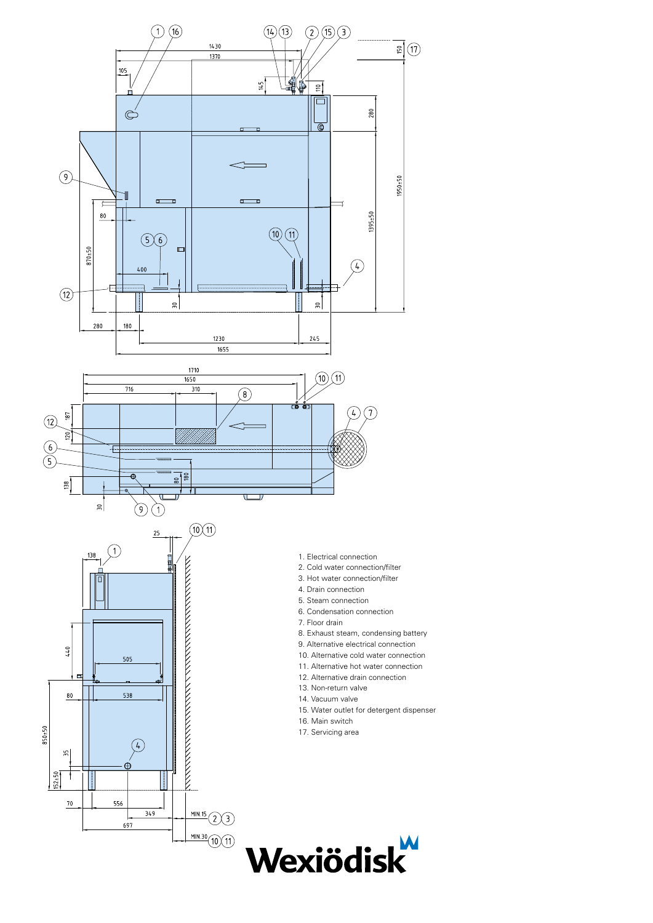